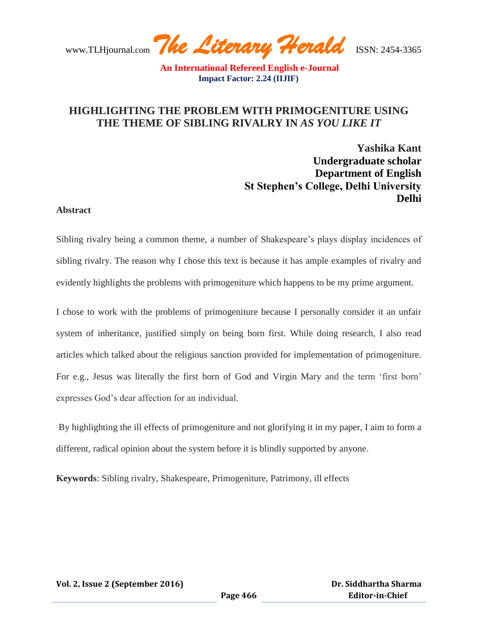www.TLHjournal.com *The Literary Herald*ISSN: 2454-3365

# **HIGHLIGHTING THE PROBLEM WITH PRIMOGENITURE USING THE THEME OF SIBLING RIVALRY IN** *AS YOU LIKE IT*

**Yashika Kant Undergraduate scholar Department of English St Stephen's College, Delhi University Delhi**

#### **Abstract**

Sibling rivalry being a common theme, a number of Shakespeare's plays display incidences of sibling rivalry. The reason why I chose this text is because it has ample examples of rivalry and evidently highlights the problems with primogeniture which happens to be my prime argument.

I chose to work with the problems of primogeniture because I personally consider it an unfair system of inheritance, justified simply on being born first. While doing research, I also read articles which talked about the religious sanction provided for implementation of primogeniture. For e.g., Jesus was literally the first born of God and Virgin Mary and the term "first born" expresses God"s dear affection for an individual.

By highlighting the ill effects of primogeniture and not glorifying it in my paper, I aim to form a different, radical opinion about the system before it is blindly supported by anyone.

**Keywords**: Sibling rivalry, Shakespeare, Primogeniture, Patrimony, ill effects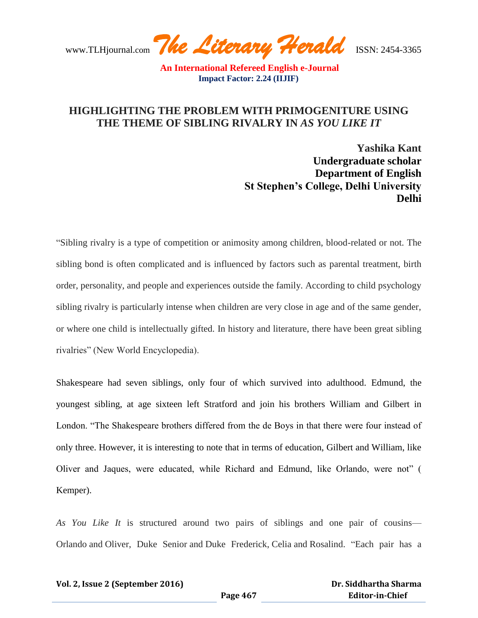www.TLHjournal.com *The Literary Herald*ISSN: 2454-3365

# **HIGHLIGHTING THE PROBLEM WITH PRIMOGENITURE USING THE THEME OF SIBLING RIVALRY IN** *AS YOU LIKE IT*

**Yashika Kant Undergraduate scholar Department of English St Stephen's College, Delhi University Delhi**

"Sibling rivalry is a type of competition or animosity among children, blood-related or not. The sibling bond is often complicated and is influenced by factors such as parental treatment, birth order, personality, and people and experiences outside the family. According to child psychology sibling rivalry is particularly intense when children are very close in age and of the same gender, or where one child is intellectually gifted. In history and literature, there have been great sibling rivalries" (New World Encyclopedia).

Shakespeare had seven siblings, only four of which survived into adulthood. Edmund, the youngest sibling, at age sixteen left Stratford and join his brothers William and Gilbert in London. "The Shakespeare brothers differed from the de Boys in that there were four instead of only three. However, it is interesting to note that in terms of education, Gilbert and William, like Oliver and Jaques, were educated, while Richard and Edmund, like Orlando, were not" ( Kemper).

*As You Like It* is structured around two pairs of siblings and one pair of cousins— Orlando and Oliver, Duke Senior and Duke Frederick, Celia and Rosalind. "Each pair has a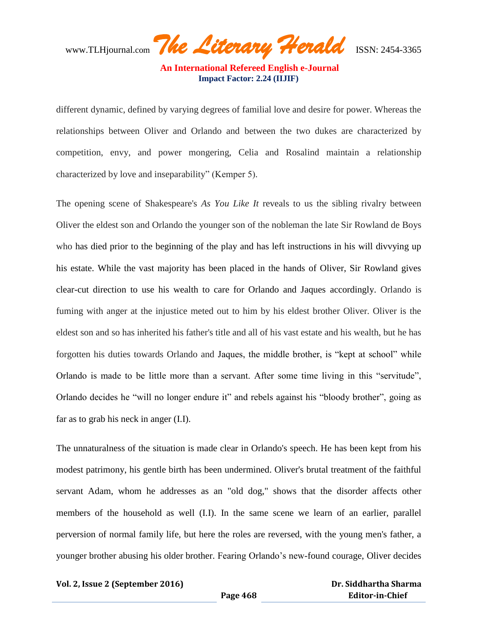www.TLHjournal.com *The Literary Herald*ISSN: 2454-3365

different dynamic, defined by varying degrees of familial love and desire for power. Whereas the relationships between Oliver and Orlando and between the two dukes are characterized by competition, envy, and power mongering, Celia and Rosalind maintain a relationship characterized by love and inseparability" (Kemper 5).

The opening scene of Shakespeare's *As You Like It* reveals to us the sibling rivalry between Oliver the eldest son and Orlando the younger son of the nobleman the late Sir Rowland de Boys who has died prior to the beginning of the play and has left instructions in his will divvying up his estate. While the vast majority has been placed in the hands of Oliver, Sir Rowland gives clear-cut direction to use his wealth to care for Orlando and Jaques accordingly. Orlando is fuming with anger at the injustice meted out to him by his eldest brother Oliver. Oliver is the eldest son and so has inherited his father's title and all of his vast estate and his wealth, but he has forgotten his duties towards Orlando and Jaques, the middle brother, is "kept at school" while Orlando is made to be little more than a servant. After some time living in this "servitude", Orlando decides he "will no longer endure it" and rebels against his "bloody brother", going as far as to grab his neck in anger (I.I).

The unnaturalness of the situation is made clear in Orlando's speech. He has been kept from his modest patrimony, his gentle birth has been undermined. Oliver's brutal treatment of the faithful servant Adam, whom he addresses as an "old dog," shows that the disorder affects other members of the household as well (I.I). In the same scene we learn of an earlier, parallel perversion of normal family life, but here the roles are reversed, with the young men's father, a younger brother abusing his older brother. Fearing Orlando"s new-found courage, Oliver decides

#### **Vol. 2, Issue 2 (September 2016)**

 **Dr. Siddhartha Sharma Editor-in-Chief**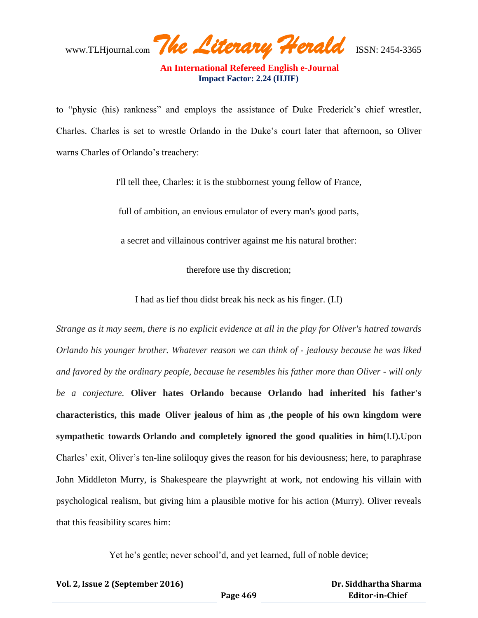www.TLHjournal.com *The Literary Herald*ISSN: 2454-3365

to "physic (his) rankness" and employs the assistance of Duke Frederick"s chief wrestler, Charles. Charles is set to wrestle Orlando in the Duke"s court later that afternoon, so Oliver warns Charles of Orlando"s treachery:

I'll tell thee, Charles: it is the stubbornest young fellow of France,

full of ambition, an envious emulator of every man's good parts,

a secret and villainous contriver against me his natural brother:

therefore use thy discretion;

I had as lief thou didst break his neck as his finger. (I.I)

*Strange as it may seem, there is no explicit evidence at all in the play for Oliver's hatred towards Orlando his younger brother. Whatever reason we can think of - jealousy because he was liked and favored by the ordinary people, because he resembles his father more than Oliver - will only be a conjecture.* **Oliver hates Orlando because Orlando had inherited his father's characteristics, this made Oliver jealous of him as ,the people of his own kingdom were sympathetic towards Orlando and completely ignored the good qualities in him**(I.I)**.**Upon Charles" exit, Oliver"s ten-line soliloquy gives the reason for his deviousness; here, to paraphrase John Middleton Murry, is Shakespeare the playwright at work, not endowing his villain with psychological realism, but giving him a plausible motive for his action (Murry). Oliver reveals that this feasibility scares him:

Yet he's gentle; never school'd, and yet learned, full of noble device;

**Vol. 2, Issue 2 (September 2016)**

 **Dr. Siddhartha Sharma Editor-in-Chief**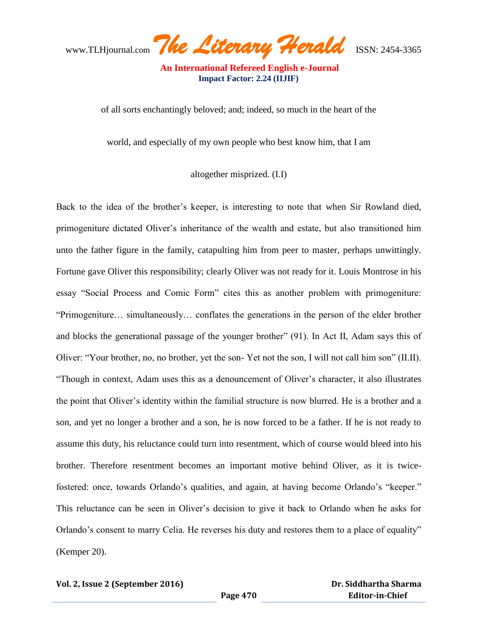www.TLHjournal.com *The Literary Herald*ISSN: 2454-3365

of all sorts enchantingly beloved; and; indeed, so much in the heart of the

world, and especially of my own people who best know him, that I am

altogether misprized. (I.I)

Back to the idea of the brother"s keeper, is interesting to note that when Sir Rowland died, primogeniture dictated Oliver"s inheritance of the wealth and estate, but also transitioned him unto the father figure in the family, catapulting him from peer to master, perhaps unwittingly. Fortune gave Oliver this responsibility; clearly Oliver was not ready for it. Louis Montrose in his essay "Social Process and Comic Form" cites this as another problem with primogeniture: "Primogeniture… simultaneously… conflates the generations in the person of the elder brother and blocks the generational passage of the younger brother" (91). In Act II, Adam says this of Oliver: "Your brother, no, no brother, yet the son- Yet not the son, I will not call him son" (II.II). "Though in context, Adam uses this as a denouncement of Oliver"s character, it also illustrates the point that Oliver"s identity within the familial structure is now blurred. He is a brother and a son, and yet no longer a brother and a son, he is now forced to be a father. If he is not ready to assume this duty, his reluctance could turn into resentment, which of course would bleed into his brother. Therefore resentment becomes an important motive behind Oliver, as it is twicefostered: once, towards Orlando's qualities, and again, at having become Orlando's "keeper." This reluctance can be seen in Oliver"s decision to give it back to Orlando when he asks for Orlando"s consent to marry Celia. He reverses his duty and restores them to a place of equality" (Kemper 20).

**Vol. 2, Issue 2 (September 2016)**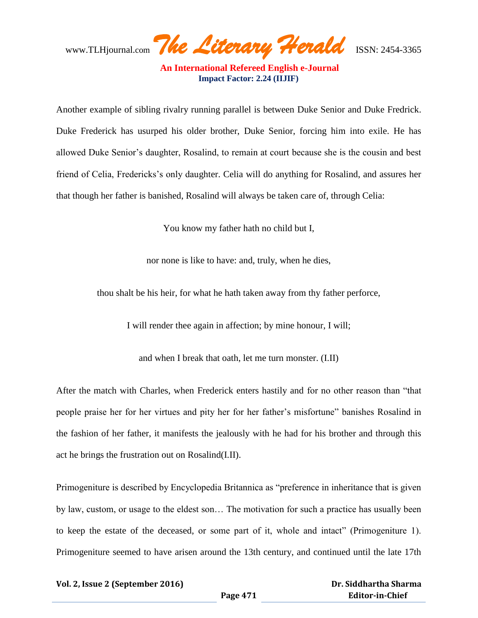www.TLHjournal.com *The Literary Herald*ISSN: 2454-3365

Another example of sibling rivalry running parallel is between Duke Senior and Duke Fredrick. Duke Frederick has usurped his older brother, Duke Senior, forcing him into exile. He has allowed Duke Senior"s daughter, Rosalind, to remain at court because she is the cousin and best friend of Celia, Fredericks"s only daughter. Celia will do anything for Rosalind, and assures her that though her father is banished, Rosalind will always be taken care of, through Celia:

You know my father hath no child but I,

nor none is like to have: and, truly, when he dies,

thou shalt be his heir, for what he hath taken away from thy father perforce,

I will render thee again in affection; by mine honour, I will;

and when I break that oath, let me turn monster. (I.II)

After the match with Charles, when Frederick enters hastily and for no other reason than "that people praise her for her virtues and pity her for her father"s misfortune" banishes Rosalind in the fashion of her father, it manifests the jealously with he had for his brother and through this act he brings the frustration out on Rosalind(I.II).

Primogeniture is described by Encyclopedia Britannica as "preference in inheritance that is given by law, custom, or usage to the eldest son… The motivation for such a practice has usually been to keep the estate of the deceased, or some part of it, whole and intact" (Primogeniture 1). Primogeniture seemed to have arisen around the 13th century, and continued until the late 17th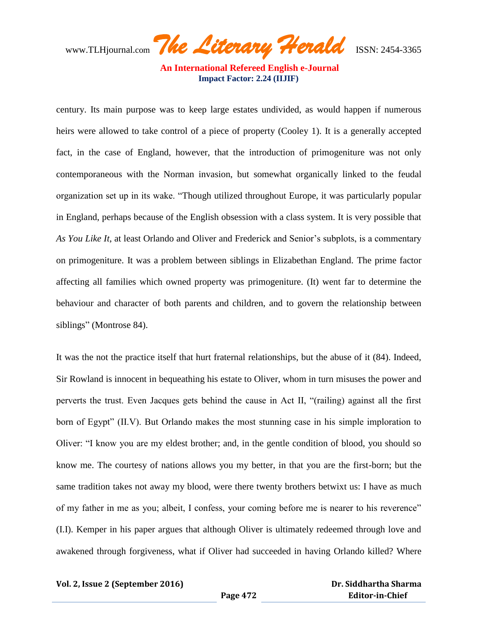www.TLHjournal.com *The Literary Herald*ISSN: 2454-3365

century. Its main purpose was to keep large estates undivided, as would happen if numerous heirs were allowed to take control of a piece of property (Cooley 1). It is a generally accepted fact, in the case of England, however, that the introduction of primogeniture was not only contemporaneous with the Norman invasion, but somewhat organically linked to the feudal organization set up in its wake. "Though utilized throughout Europe, it was particularly popular in England, perhaps because of the English obsession with a class system. It is very possible that *As You Like It*, at least Orlando and Oliver and Frederick and Senior"s subplots, is a commentary on primogeniture. It was a problem between siblings in Elizabethan England. The prime factor affecting all families which owned property was primogeniture. (It) went far to determine the behaviour and character of both parents and children, and to govern the relationship between siblings" (Montrose 84).

It was the not the practice itself that hurt fraternal relationships, but the abuse of it (84). Indeed, Sir Rowland is innocent in bequeathing his estate to Oliver, whom in turn misuses the power and perverts the trust. Even Jacques gets behind the cause in Act II, "(railing) against all the first born of Egypt" (II.V). But Orlando makes the most stunning case in his simple imploration to Oliver: "I know you are my eldest brother; and, in the gentle condition of blood, you should so know me. The courtesy of nations allows you my better, in that you are the first-born; but the same tradition takes not away my blood, were there twenty brothers betwixt us: I have as much of my father in me as you; albeit, I confess, your coming before me is nearer to his reverence" (I.I). Kemper in his paper argues that although Oliver is ultimately redeemed through love and awakened through forgiveness, what if Oliver had succeeded in having Orlando killed? Where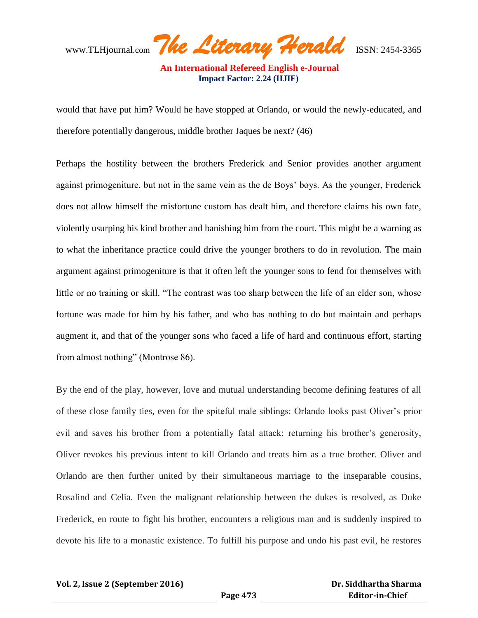www.TLHjournal.com *The Literary Herald*ISSN: 2454-3365

would that have put him? Would he have stopped at Orlando, or would the newly-educated, and therefore potentially dangerous, middle brother Jaques be next? (46)

Perhaps the hostility between the brothers Frederick and Senior provides another argument against primogeniture, but not in the same vein as the de Boys" boys. As the younger, Frederick does not allow himself the misfortune custom has dealt him, and therefore claims his own fate, violently usurping his kind brother and banishing him from the court. This might be a warning as to what the inheritance practice could drive the younger brothers to do in revolution. The main argument against primogeniture is that it often left the younger sons to fend for themselves with little or no training or skill. "The contrast was too sharp between the life of an elder son, whose fortune was made for him by his father, and who has nothing to do but maintain and perhaps augment it, and that of the younger sons who faced a life of hard and continuous effort, starting from almost nothing" (Montrose 86).

By the end of the play, however, love and mutual understanding become defining features of all of these close family ties, even for the spiteful male siblings: Orlando looks past Oliver"s prior evil and saves his brother from a potentially fatal attack; returning his brother's generosity, Oliver revokes his previous intent to kill Orlando and treats him as a true brother. Oliver and Orlando are then further united by their simultaneous marriage to the inseparable cousins, Rosalind and Celia. Even the malignant relationship between the dukes is resolved, as Duke Frederick, en route to fight his brother, encounters a religious man and is suddenly inspired to devote his life to a monastic existence. To fulfill his purpose and undo his past evil, he restores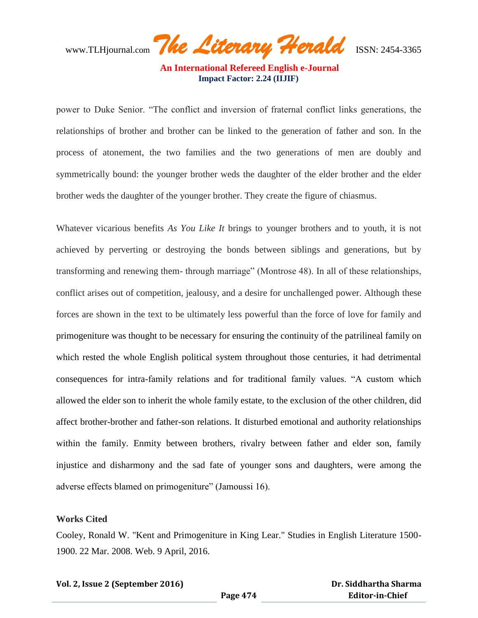www.TLHjournal.com *The Literary Herald*ISSN: 2454-3365

power to Duke Senior. "The conflict and inversion of fraternal conflict links generations, the relationships of brother and brother can be linked to the generation of father and son. In the process of atonement, the two families and the two generations of men are doubly and symmetrically bound: the younger brother weds the daughter of the elder brother and the elder brother weds the daughter of the younger brother. They create the figure of chiasmus.

Whatever vicarious benefits *As You Like It* brings to younger brothers and to youth, it is not achieved by perverting or destroying the bonds between siblings and generations, but by transforming and renewing them- through marriage" (Montrose 48). In all of these relationships, conflict arises out of competition, jealousy, and a desire for unchallenged power. Although these forces are shown in the text to be ultimately less powerful than the force of love for family and primogeniture was thought to be necessary for ensuring the continuity of the patrilineal family on which rested the whole English political system throughout those centuries, it had detrimental consequences for intra-family relations and for traditional family values. "A custom which allowed the elder son to inherit the whole family estate, to the exclusion of the other children, did affect brother-brother and father-son relations. It disturbed emotional and authority relationships within the family. Enmity between brothers, rivalry between father and elder son, family injustice and disharmony and the sad fate of younger sons and daughters, were among the adverse effects blamed on primogeniture" (Jamoussi 16).

### **Works Cited**

Cooley, Ronald W. "Kent and Primogeniture in King Lear." Studies in English Literature 1500- 1900. 22 Mar. 2008. Web. 9 April, 2016.